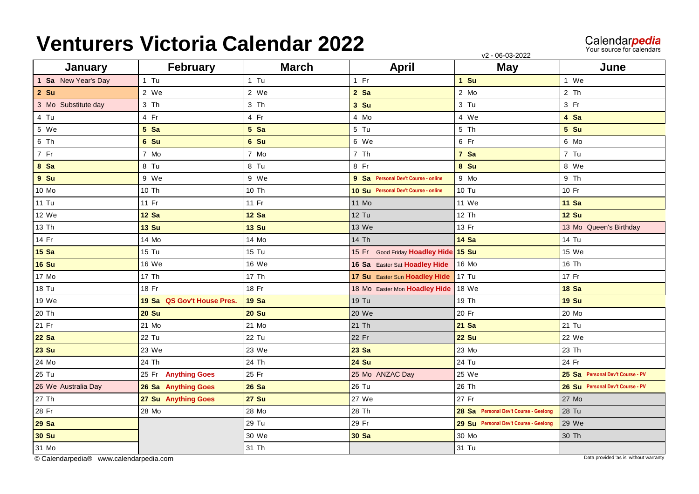## **Venturers Victoria Calendar 2022**

Calendar**pedia**<br>Your source for calendars

v2 - 06-03-2022

| January             | February                   | <b>March</b> | <b>April</b>                         | $-0000000$<br><b>May</b>              | June                             |
|---------------------|----------------------------|--------------|--------------------------------------|---------------------------------------|----------------------------------|
| 1 Sa New Year's Day | $1$ Tu                     | $1$ Tu       | $1$ Fr                               | 1 Su                                  | 1 We                             |
| $2$ Su              | 2 We                       | 2 We         | $2$ Sa                               | 2 Mo                                  | 2 Th                             |
| 3 Mo Substitute day | 3 Th                       | 3 Th         | 3 Su                                 | 3 Tu                                  | $3$ Fr                           |
| 4 Tu                | 4 Fr                       | 4 Fr         | 4 Mo                                 | 4 We                                  | 4 Sa                             |
| 5 We                | 5 Sa                       | $5$ Sa       | 5 Tu                                 | 5 Th                                  | 5 Su                             |
| 6 Th                | 6 Su                       | 6 Su         | 6 We                                 | $6$ Fr                                | 6 Mo                             |
| 7 Fr                | 7 Mo                       | 7 Mo         | 7 Th                                 | 7 Sa                                  | 7 Tu                             |
| 8 Sa                | 8 Tu                       | 8 Tu         | 8 Fr                                 | 8 Su                                  | 8 We                             |
| 9 Su                | 9 We                       | 9 We         | 9 Sa Personal Dev't Course - online  | 9 Mo                                  | $9$ Th                           |
| 10 Mo               | 10 Th                      | 10 Th        | 10 Su Personal Dev't Course - online | 10 Tu                                 | 10 Fr                            |
| <b>11 Tu</b>        | 11 Fr                      | 11 Fr        | 11 Mo                                | 11 We                                 | <b>11 Sa</b>                     |
| 12 We               | <b>12 Sa</b>               | <b>12 Sa</b> | <b>12 Tu</b>                         | 12 Th                                 | <b>12 Su</b>                     |
| 13 Th               | <b>13 Su</b>               | <b>13 Su</b> | 13 We                                | 13 Fr                                 | 13 Mo Queen's Birthday           |
| 14 Fr               | 14 Mo                      | 14 Mo        | 14 Th                                | <b>14 Sa</b>                          | 14 Tu                            |
| <b>15 Sa</b>        | 15 Tu                      | 15 Tu        | 15 Fr Good Friday Hoadley Hide 15 Su |                                       | 15 We                            |
| <b>16 Su</b>        | 16 We                      | 16 We        | 16 Sa Easter Sat Hoadley Hide        | 16 Mo                                 | 16 Th                            |
| 17 Mo               | 17 Th                      | 17 Th        | 17 Su Easter Sun Hoadley Hide        | 17 Tu                                 | 17 Fr                            |
| 18 Tu               | 18 Fr                      | 18 Fr        | 18 Mo Easter Mon Hoadley Hide        | 18 We                                 | <b>18 Sa</b>                     |
| 19 We               | 19 Sa QS Gov't House Pres. | <b>19 Sa</b> | 19 Tu                                | 19 Th                                 | <b>19 Su</b>                     |
| 20 Th               | <b>20 Su</b>               | <b>20 Su</b> | 20 We                                | 20 Fr                                 | 20 Mo                            |
| 21 Fr               | 21 Mo                      | 21 Mo        | 21 Th                                | 21 Sa                                 | 21 Tu                            |
| <b>22 Sa</b>        | 22 Tu                      | 22 Tu        | 22 Fr                                | <b>22 Su</b>                          | 22 We                            |
| <b>23 Su</b>        | 23 We                      | 23 We        | 23 Sa                                | 23 Mo                                 | 23 Th                            |
| 24 Mo               | 24 Th                      | 24 Th        | <b>24 Su</b>                         | 24 Tu                                 | 24 Fr                            |
| 25 Tu               | 25 Fr Anything Goes        | 25 Fr        | 25 Mo ANZAC Day                      | 25 We                                 | 25 Sa Personal Dev't Course - PV |
| 26 We Australia Day | 26 Sa Anything Goes        | <b>26 Sa</b> | 26 Tu                                | 26 Th                                 | 26 Su Personal Dev't Course - PV |
| 27 Th               | 27 Su Anything Goes        | <b>27 Su</b> | 27 We                                | 27 Fr                                 | 27 Mo                            |
| 28 Fr               | 28 Mo                      | 28 Mo        | 28 Th                                | 28 Sa Personal Dev't Course - Geelong | 28 Tu                            |
| <b>29 Sa</b>        |                            | 29 Tu        | 29 Fr                                | 29 Su Personal Dev't Course - Geelong | 29 We                            |
| <b>30 Su</b>        |                            | 30 We        | <b>30 Sa</b>                         | 30 Mo                                 | 30 Th                            |
| 31 Mo               |                            | 31 Th        |                                      | 31 Tu                                 |                                  |

[© Calendarpedia® www.calendarpedia.com](https://www.calendarpedia.com/) Data provided 'as is' without warranty